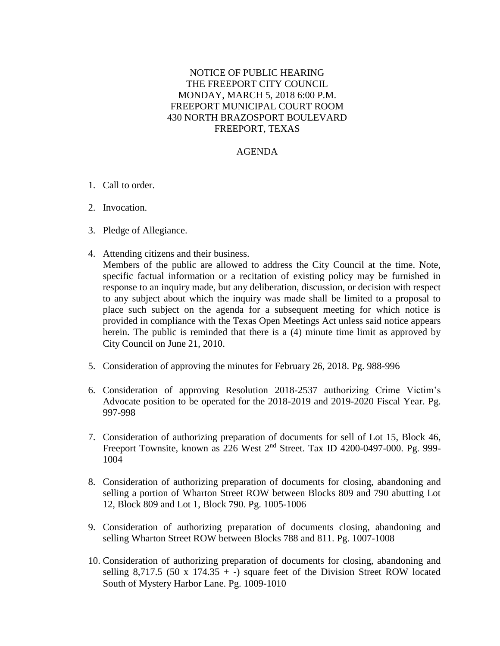## NOTICE OF PUBLIC HEARING THE FREEPORT CITY COUNCIL MONDAY, MARCH 5, 2018 6:00 P.M. FREEPORT MUNICIPAL COURT ROOM 430 NORTH BRAZOSPORT BOULEVARD FREEPORT, TEXAS

## AGENDA

- 1. Call to order.
- 2. Invocation.
- 3. Pledge of Allegiance.
- 4. Attending citizens and their business. Members of the public are allowed to address the City Council at the time. Note, specific factual information or a recitation of existing policy may be furnished in response to an inquiry made, but any deliberation, discussion, or decision with respect to any subject about which the inquiry was made shall be limited to a proposal to place such subject on the agenda for a subsequent meeting for which notice is provided in compliance with the Texas Open Meetings Act unless said notice appears herein. The public is reminded that there is a (4) minute time limit as approved by City Council on June 21, 2010.
- 5. Consideration of approving the minutes for February 26, 2018. Pg. 988-996
- 6. Consideration of approving Resolution 2018-2537 authorizing Crime Victim's Advocate position to be operated for the 2018-2019 and 2019-2020 Fiscal Year. Pg. 997-998
- 7. Consideration of authorizing preparation of documents for sell of Lot 15, Block 46, Freeport Townsite, known as  $226$  West  $2<sup>nd</sup>$  Street. Tax ID 4200-0497-000. Pg. 999-1004
- 8. Consideration of authorizing preparation of documents for closing, abandoning and selling a portion of Wharton Street ROW between Blocks 809 and 790 abutting Lot 12, Block 809 and Lot 1, Block 790. Pg. 1005-1006
- 9. Consideration of authorizing preparation of documents closing, abandoning and selling Wharton Street ROW between Blocks 788 and 811. Pg. 1007-1008
- 10. Consideration of authorizing preparation of documents for closing, abandoning and selling  $8,717.5$  (50 x  $174.35 + -$ ) square feet of the Division Street ROW located South of Mystery Harbor Lane. Pg. 1009-1010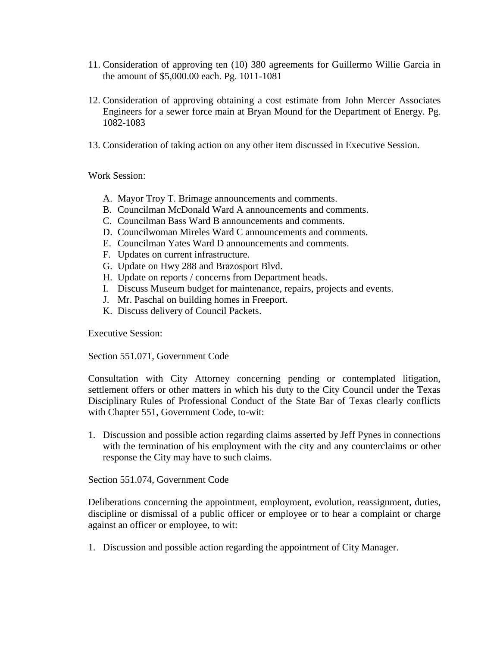- 11. Consideration of approving ten (10) 380 agreements for Guillermo Willie Garcia in the amount of \$5,000.00 each. Pg. 1011-1081
- 12. Consideration of approving obtaining a cost estimate from John Mercer Associates Engineers for a sewer force main at Bryan Mound for the Department of Energy. Pg. 1082-1083
- 13. Consideration of taking action on any other item discussed in Executive Session.

Work Session:

- A. Mayor Troy T. Brimage announcements and comments.
- B. Councilman McDonald Ward A announcements and comments.
- C. Councilman Bass Ward B announcements and comments.
- D. Councilwoman Mireles Ward C announcements and comments.
- E. Councilman Yates Ward D announcements and comments.
- F. Updates on current infrastructure.
- G. Update on Hwy 288 and Brazosport Blvd.
- H. Update on reports / concerns from Department heads.
- I. Discuss Museum budget for maintenance, repairs, projects and events.
- J. Mr. Paschal on building homes in Freeport.
- K. Discuss delivery of Council Packets.

Executive Session:

Section 551.071, Government Code

Consultation with City Attorney concerning pending or contemplated litigation, settlement offers or other matters in which his duty to the City Council under the Texas Disciplinary Rules of Professional Conduct of the State Bar of Texas clearly conflicts with Chapter 551, Government Code, to-wit:

1. Discussion and possible action regarding claims asserted by Jeff Pynes in connections with the termination of his employment with the city and any counterclaims or other response the City may have to such claims.

Section 551.074, Government Code

Deliberations concerning the appointment, employment, evolution, reassignment, duties, discipline or dismissal of a public officer or employee or to hear a complaint or charge against an officer or employee, to wit:

1. Discussion and possible action regarding the appointment of City Manager.